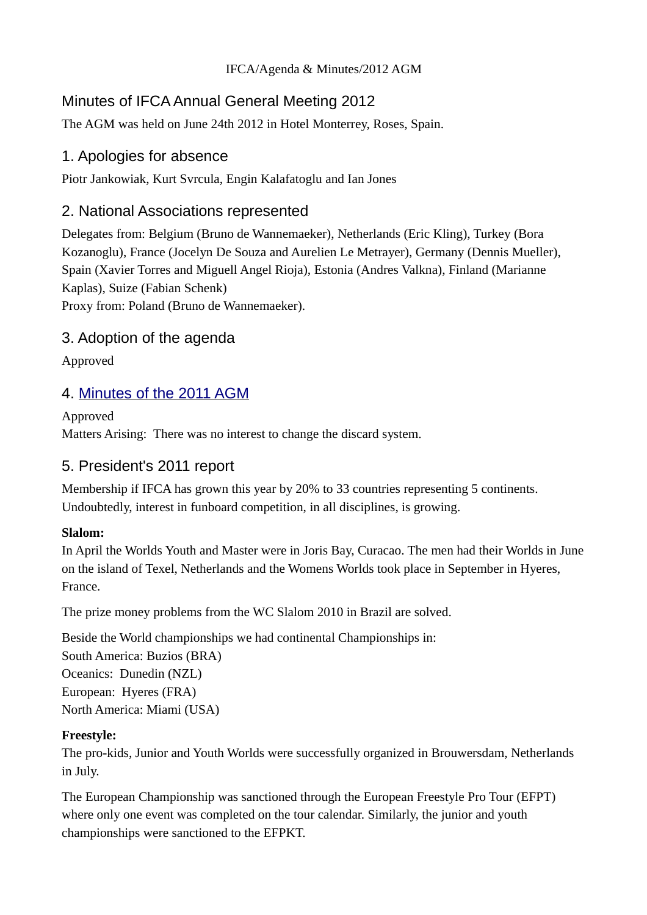### IFCA/Agenda & Minutes/2012 AGM

# Minutes of IFCA Annual General Meeting 2012

The AGM was held on June 24th 2012 in Hotel Monterrey, Roses, Spain.

## 1. Apologies for absence

Piotr Jankowiak, Kurt Svrcula, Engin Kalafatoglu and Ian Jones

## 2. National Associations represented

Delegates from: Belgium (Bruno de Wannemaeker), Netherlands (Eric Kling), Turkey (Bora Kozanoglu), France (Jocelyn De Souza and Aurelien Le Metrayer), Germany (Dennis Mueller), Spain (Xavier Torres and Miguell Angel Rioja), Estonia (Andres Valkna), Finland (Marianne Kaplas), Suize (Fabian Schenk) Proxy from: Poland (Bruno de Wannemaeker).

## 3. Adoption of the agenda

Approved

## 4. [Minutes of the 2011 AGM](http://ifca.internationalwindsurfing.com/page0266v01.htm)

Approved Matters Arising: There was no interest to change the discard system.

## 5. President's 2011 report

Membership if IFCA has grown this year by 20% to 33 countries representing 5 continents. Undoubtedly, interest in funboard competition, in all disciplines, is growing.

### **Slalom:**

In April the Worlds Youth and Master were in Joris Bay, Curacao. The men had their Worlds in June on the island of Texel, Netherlands and the Womens Worlds took place in September in Hyeres, France.

The prize money problems from the WC Slalom 2010 in Brazil are solved.

Beside the World championships we had continental Championships in: South America: Buzios (BRA) Oceanics: Dunedin (NZL) European: Hyeres (FRA) North America: Miami (USA)

### **Freestyle:**

The pro-kids, Junior and Youth Worlds were successfully organized in Brouwersdam, Netherlands in July.

The European Championship was sanctioned through the European Freestyle Pro Tour (EFPT) where only one event was completed on the tour calendar. Similarly, the junior and youth championships were sanctioned to the EFPKT.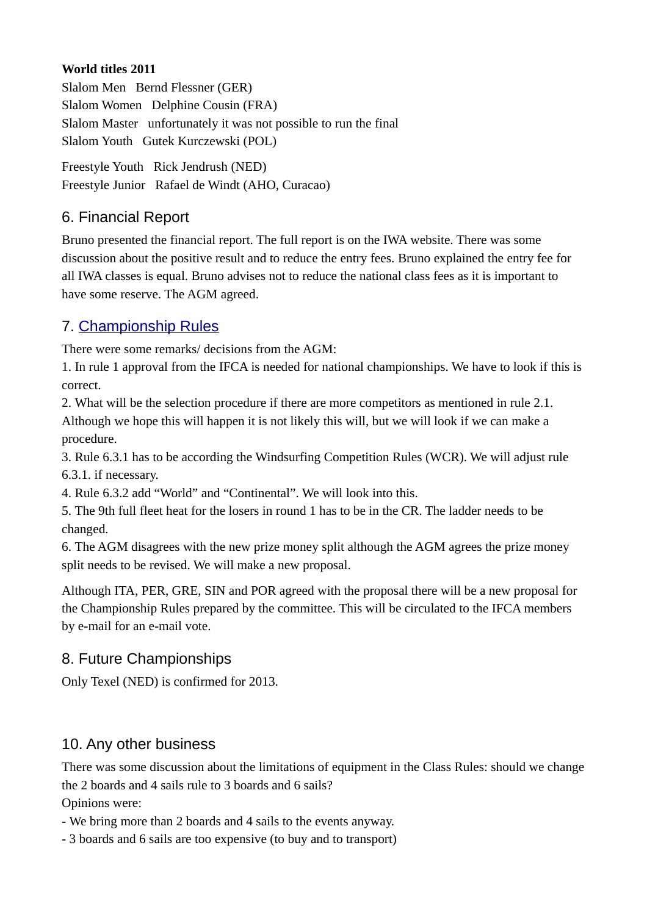### **World titles 2011**

Slalom Men Bernd Flessner (GER) Slalom Women Delphine Cousin (FRA) Slalom Master unfortunately it was not possible to run the final Slalom Youth Gutek Kurczewski (POL)

Freestyle Youth Rick Jendrush (NED) Freestyle Junior Rafael de Windt (AHO, Curacao)

# 6. Financial Report

Bruno presented the financial report. The full report is on the IWA website. There was some discussion about the positive result and to reduce the entry fees. Bruno explained the entry fee for all IWA classes is equal. Bruno advises not to reduce the national class fees as it is important to have some reserve. The AGM agreed.

# 7. [Championship Rules](http://www.internationalwindsurfing.com/userfiles/documents/IFCA_Championship_Rules_2012.pdf)

There were some remarks/ decisions from the AGM:

1. In rule 1 approval from the IFCA is needed for national championships. We have to look if this is correct.

2. What will be the selection procedure if there are more competitors as mentioned in rule 2.1. Although we hope this will happen it is not likely this will, but we will look if we can make a procedure.

3. Rule 6.3.1 has to be according the Windsurfing Competition Rules (WCR). We will adjust rule 6.3.1. if necessary.

4. Rule 6.3.2 add "World" and "Continental". We will look into this.

5. The 9th full fleet heat for the losers in round 1 has to be in the CR. The ladder needs to be changed.

6. The AGM disagrees with the new prize money split although the AGM agrees the prize money split needs to be revised. We will make a new proposal.

Although ITA, PER, GRE, SIN and POR agreed with the proposal there will be a new proposal for the Championship Rules prepared by the committee. This will be circulated to the IFCA members by e-mail for an e-mail vote.

# 8. Future Championships

Only Texel (NED) is confirmed for 2013.

## 10. Any other business

There was some discussion about the limitations of equipment in the Class Rules: should we change the 2 boards and 4 sails rule to 3 boards and 6 sails?

Opinions were:

- We bring more than 2 boards and 4 sails to the events anyway.

- 3 boards and 6 sails are too expensive (to buy and to transport)